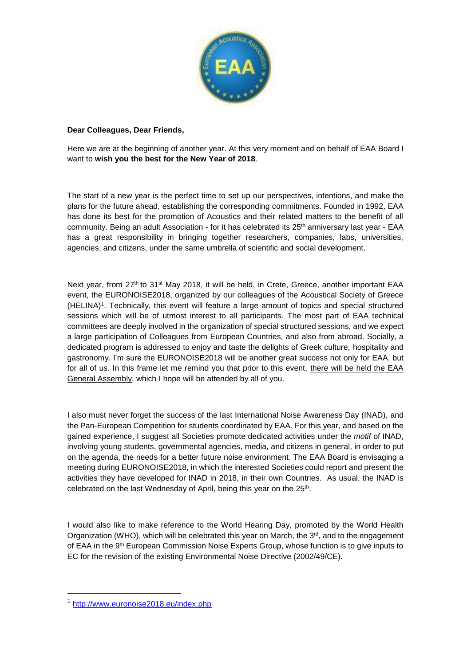

## **Dear Colleagues, Dear Friends,**

Here we are at the beginning of another year. At this very moment and on behalf of EAA Board I want to **wish you the best for the New Year of 2018**.

The start of a new year is the perfect time to set up our perspectives, intentions, and make the plans for the future ahead, establishing the corresponding commitments. Founded in 1992, EAA has done its best for the promotion of Acoustics and their related matters to the benefit of all community. Being an adult Association - for it has celebrated its 25<sup>th</sup> anniversary last year - EAA has a great responsibility in bringing together researchers, companies, labs, universities, agencies, and citizens, under the same umbrella of scientific and social development.

Next year, from 27<sup>th</sup> to 31<sup>st</sup> May 2018, it will be held, in Crete, Greece, another important EAA event, the EURONOISE2018, organized by our colleagues of the Acoustical Society of Greece (HELINA)<sup>1</sup> . Technically, this event will feature a large amount of topics and special structured sessions which will be of utmost interest to all participants. The most part of EAA technical committees are deeply involved in the organization of special structured sessions, and we expect a large participation of Colleagues from European Countries, and also from abroad. Socially, a dedicated program is addressed to enjoy and taste the delights of Greek culture, hospitality and gastronomy. I'm sure the EURONOISE2018 will be another great success not only for EAA, but for all of us. In this frame let me remind you that prior to this event, there will be held the EAA General Assembly, which I hope will be attended by all of you.

I also must never forget the success of the last International Noise Awareness Day (INAD), and the Pan-European Competition for students coordinated by EAA. For this year, and based on the gained experience, I suggest all Societies promote dedicated activities under the *motif* of INAD, involving young students, governmental agencies, media, and citizens in general, in order to put on the agenda, the needs for a better future noise environment. The EAA Board is envisaging a meeting during EURONOISE2018, in which the interested Societies could report and present the activities they have developed for INAD in 2018, in their own Countries. As usual, the INAD is celebrated on the last Wednesday of April, being this year on the 25<sup>th</sup>.

I would also like to make reference to the World Hearing Day, promoted by the World Health Organization (WHO), which will be celebrated this year on March, the  $3<sup>rd</sup>$ , and to the engagement of EAA in the 9<sup>th</sup> European Commission Noise Experts Group, whose function is to give inputs to EC for the revision of the existing Environmental Noise Directive (2002/49/CE).

1

<sup>1</sup> <http://www.euronoise2018.eu/index.php>